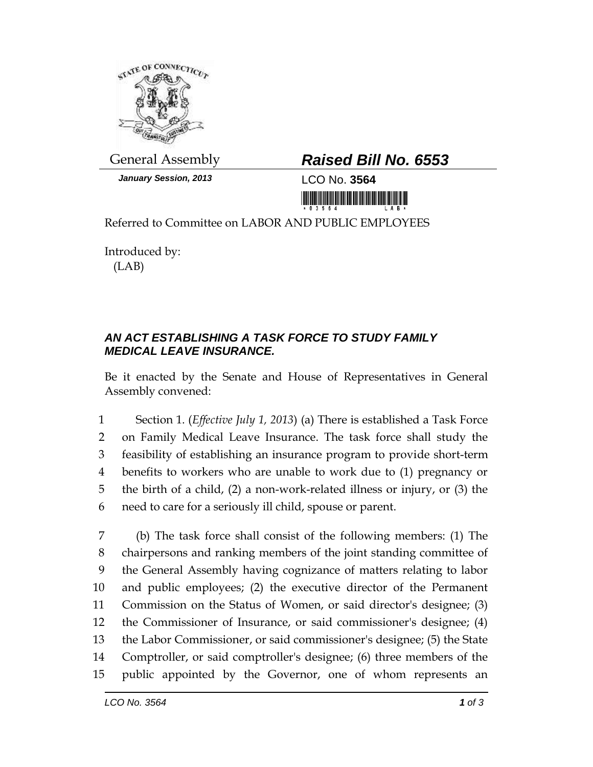

*January Session, 2013* LCO No. **3564**

## General Assembly *Raised Bill No. 6553*

<u> III di kacamatan ing Kabupatèn III di kacamatan Ing Kabupatèn III di kacamatan Ing Kabupatèn III di kacamatan </u>

Referred to Committee on LABOR AND PUBLIC EMPLOYEES

Introduced by: (LAB)

## *AN ACT ESTABLISHING A TASK FORCE TO STUDY FAMILY MEDICAL LEAVE INSURANCE.*

Be it enacted by the Senate and House of Representatives in General Assembly convened:

 Section 1. (*Effective July 1, 2013*) (a) There is established a Task Force on Family Medical Leave Insurance. The task force shall study the feasibility of establishing an insurance program to provide short-term benefits to workers who are unable to work due to (1) pregnancy or the birth of a child, (2) a non-work-related illness or injury, or (3) the need to care for a seriously ill child, spouse or parent.

 (b) The task force shall consist of the following members: (1) The chairpersons and ranking members of the joint standing committee of the General Assembly having cognizance of matters relating to labor and public employees; (2) the executive director of the Permanent Commission on the Status of Women, or said director's designee; (3) the Commissioner of Insurance, or said commissioner's designee; (4) the Labor Commissioner, or said commissioner's designee; (5) the State Comptroller, or said comptroller's designee; (6) three members of the public appointed by the Governor, one of whom represents an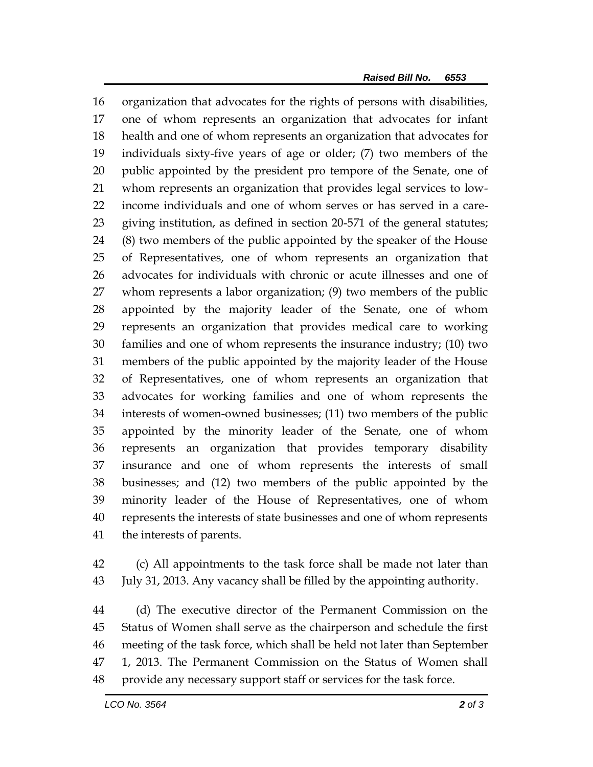organization that advocates for the rights of persons with disabilities, one of whom represents an organization that advocates for infant health and one of whom represents an organization that advocates for individuals sixty-five years of age or older; (7) two members of the public appointed by the president pro tempore of the Senate, one of whom represents an organization that provides legal services to low- income individuals and one of whom serves or has served in a care- giving institution, as defined in section 20-571 of the general statutes; (8) two members of the public appointed by the speaker of the House of Representatives, one of whom represents an organization that advocates for individuals with chronic or acute illnesses and one of whom represents a labor organization; (9) two members of the public appointed by the majority leader of the Senate, one of whom represents an organization that provides medical care to working families and one of whom represents the insurance industry; (10) two members of the public appointed by the majority leader of the House of Representatives, one of whom represents an organization that advocates for working families and one of whom represents the interests of women-owned businesses; (11) two members of the public appointed by the minority leader of the Senate, one of whom represents an organization that provides temporary disability insurance and one of whom represents the interests of small businesses; and (12) two members of the public appointed by the minority leader of the House of Representatives, one of whom represents the interests of state businesses and one of whom represents the interests of parents.

 (c) All appointments to the task force shall be made not later than July 31, 2013. Any vacancy shall be filled by the appointing authority.

 (d) The executive director of the Permanent Commission on the Status of Women shall serve as the chairperson and schedule the first meeting of the task force, which shall be held not later than September 1, 2013. The Permanent Commission on the Status of Women shall provide any necessary support staff or services for the task force.